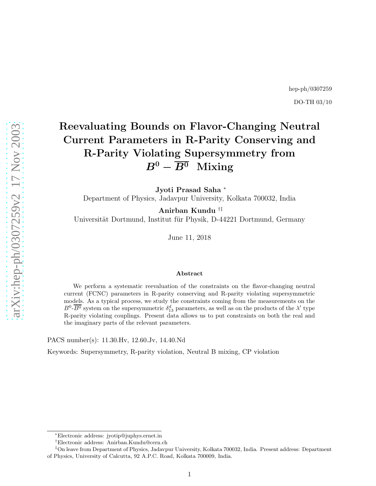## hep-ph/0307259 DO-TH 03/10

# Reevaluating Bounds on Flavor-Changing Neutral Current Parameters in R-Parity Conserving and R-Parity Violating Supersymmetry from  $B^0 - \overline{B^0}$  Mixing

Jyoti Prasad Saha<sup>\*</sup> Department of Physics, Jadavpur University, Kolkata 700032, India

Anirban Kundu †‡ Universität Dortmund, Institut für Physik, D-44221 Dortmund, Germany

June 11, 2018

#### Abstract

We perform a systematic reevaluation of the constraints on the flavor-changing neutral current (FCNC) parameters in R-parity conserving and R-parity violating supersymmetric models. As a typical process, we study the constraints coming from the measurements on the  $B^0$ - $\overline{B^0}$  system on the supersymmetric  $\delta_{13}^d$  parameters, as well as on the products of the  $\lambda'$  type R-parity violating couplings. Present data allows us to put constraints on both the real and the imaginary parts of the relevant parameters.

PACS number(s): 11.30.Hv, 12.60.Jv, 14.40.Nd

Keywords: Supersymmetry, R-parity violation, Neutral B mixing, CP violation

<sup>∗</sup>Electronic address: jyotip@juphys.ernet.in

<sup>†</sup>Electronic address: Anirban.Kundu@cern.ch

<sup>‡</sup>On leave from Department of Physics, Jadavpur University, Kolkata 700032, India. Present address: Department of Physics, University of Calcutta, 92 A.P.C. Road, Kolkata 700009, India.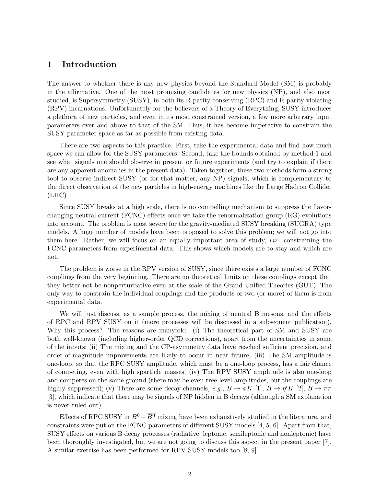### 1 Introduction

The answer to whether there is any new physics beyond the Standard Model (SM) is probably in the affirmative. One of the most promising candidates for new physics (NP), and also most studied, is Supersymmetry (SUSY), in both its R-parity conserving (RPC) and R-parity violating (RPV) incarnations. Unfortunately for the believers of a Theory of Everything, SUSY introduces a plethora of new particles, and even in its most constrained version, a few more arbitrary input parameters over and above to that of the SM. Thus, it has become imperative to constrain the SUSY parameter space as far as possible from existing data.

There are two aspects to this practice. First, take the experimental data and find how much space we can allow for the SUSY parameters. Second, take the bounds obtained by method 1 and see what signals one should observe in present or future experiments (and try to explain if there are any apparent anomalies in the present data). Taken together, these two methods form a strong tool to observe indirect SUSY (or for that matter, any NP) signals, which is complementary to the direct observation of the new particles in high-energy machines like the Large Hadron Collider  $(LHC)$ .

Since SUSY breaks at a high scale, there is no compelling mechanism to suppress the flavorchanging neutral current (FCNC) effects once we take the renormalization group (RG) evolutions into account. The problem is most severe for the gravity-mediated SUSY breaking (SUGRA) type models. A huge number of models have been proposed to solve this problem; we will not go into them here. Rather, we will focus on an equally important area of study, viz., constraining the FCNC parameters from experimental data. This shows which models are to stay and which are not.

The problem is worse in the RPV version of SUSY, since there exists a large number of FCNC couplings from the very beginning. There are no theoretical limits on these couplings except that they better not be nonperturbative even at the scale of the Grand Unified Theories (GUT). The only way to constrain the individual couplings and the products of two (or more) of them is from experimental data.

We will just discuss, as a sample process, the mixing of neutral B mesons, and the effects of RPC and RPV SUSY on it (more processes will be discussed in a subsequent publication). Why this process? The reasons are manyfold: (i) The theoretical part of SM and SUSY are both well-known (including higher-order QCD corrections), apart from the uncertainties in some of the inputs; (ii) The mixing and the CP-asymmetry data have reached sufficient precision, and order-of-magnitude improvements are likely to occur in near future; (iii) The SM amplitude is one-loop, so that the RPC SUSY amplitude, which must be a one-loop process, has a fair chance of competing, even with high sparticle masses; (iv) The RPV SUSY amplitude is also one-loop and competes on the same ground (there may be even tree-level amplitudes, but the couplings are highly suppressed); (v) There are some decay channels,  $e.g., B \to \phi K$  [1],  $B \to \eta' K$  [2],  $B \to \pi\pi$ [3], which indicate that there may be signals of NP hidden in B decays (although a SM explanation is never ruled out).

Effects of RPC SUSY in  $B^0 - \overline{B^0}$  mixing have been exhaustively studied in the literature, and constraints were put on the FCNC parameters of different SUSY models [4, 5, 6]. Apart from that, SUSY effects on various B decay processes (radiative, leptonic, semileptonic and nonleptonic) have been thoroughly investigated, but we are not going to discuss this aspect in the present paper [7]. A similar exercise has been performed for RPV SUSY models too [8, 9].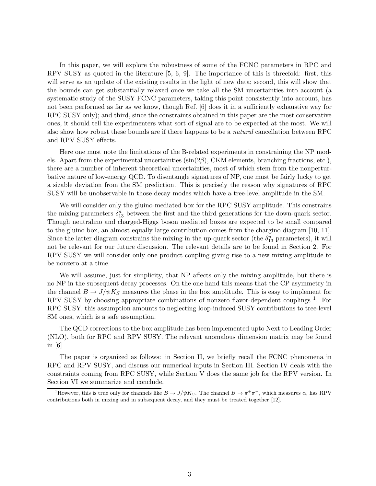In this paper, we will explore the robustness of some of the FCNC parameters in RPC and RPV SUSY as quoted in the literature [5, 6, 9]. The importance of this is threefold: first, this will serve as an update of the existing results in the light of new data; second, this will show that the bounds can get substantially relaxed once we take all the SM uncertainties into account (a systematic study of the SUSY FCNC parameters, taking this point consistently into account, has not been performed as far as we know, though Ref. [6] does it in a sufficiently exhaustive way for RPC SUSY only); and third, since the constraints obtained in this paper are the most conservative ones, it should tell the experimenters what sort of signal are to be expected at the most. We will also show how robust these bounds are if there happens to be a natural cancellation between RPC and RPV SUSY effects.

Here one must note the limitations of the B-related experiments in constraining the NP models. Apart from the experimental uncertainties  $(\sin(2\beta), \text{CKM}$  elements, branching fractions, etc.), there are a number of inherent theoretical uncertainties, most of which stem from the nonperturbative nature of low-energy QCD. To disentangle signatures of NP, one must be fairly lucky to get a sizable deviation from the SM prediction. This is precisely the reason why signatures of RPC SUSY will be unobservable in those decay modes which have a tree-level amplitude in the SM.

We will consider only the gluino-mediated box for the RPC SUSY amplitude. This constrains the mixing parameters  $\delta_{13}^d$  between the first and the third generations for the down-quark sector. Though neutralino and charged-Higgs boson mediated boxes are expected to be small compared to the gluino box, an almost equally large contribution comes from the chargino diagram [10, 11]. Since the latter diagram constrains the mixing in the up-quark sector (the  $\delta_{13}^u$  parameters), it will not be relevant for our future discussion. The relevant details are to be found in Section 2. For RPV SUSY we will consider only one product coupling giving rise to a new mixing amplitude to be nonzero at a time.

We will assume, just for simplicity, that NP affects only the mixing amplitude, but there is no NP in the subsequent decay processes. On the one hand this means that the CP asymmetry in the channel  $B \to J/\psi K_S$  measures the phase in the box amplitude. This is easy to implement for RPV SUSY by choosing appropriate combinations of nonzero flavor-dependent couplings<sup>1</sup>. For RPC SUSY, this assumption amounts to neglecting loop-induced SUSY contributions to tree-level SM ones, which is a safe assumption.

The QCD corrections to the box amplitude has been implemented upto Next to Leading Order (NLO), both for RPC and RPV SUSY. The relevant anomalous dimension matrix may be found in [6].

The paper is organized as follows: in Section II, we briefly recall the FCNC phenomena in RPC and RPV SUSY, and discuss our numerical inputs in Section III. Section IV deals with the constraints coming from RPC SUSY, while Section V does the same job for the RPV version. In Section VI we summarize and conclude.

<sup>&</sup>lt;sup>1</sup>However, this is true only for channels like  $B \to J/\psi K_S$ . The channel  $B \to \pi^+\pi^-$ , which measures  $\alpha$ , has RPV contributions both in mixing and in subsequent decay, and they must be treated together [12].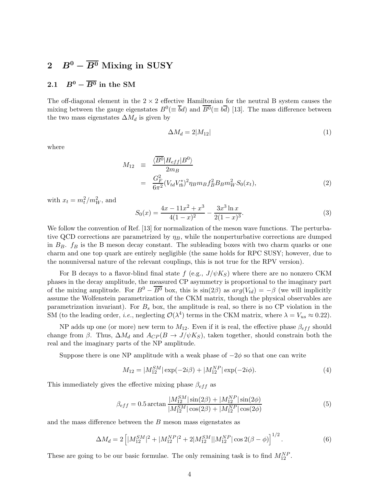## 2  $B^0 - \overline{B^0}$  Mixing in SUSY

## 2.1  $B^0 - \overline{B^0}$  in the SM

The off-diagonal element in the  $2 \times 2$  effective Hamiltonian for the neutral B system causes the mixing between the gauge eigenstates  $B^0 (\equiv \overline{b}d)$  and  $\overline{B^0} (\equiv b\overline{d})$  [13]. The mass difference between the two mass eigenstates  $\Delta M_d$  is given by

$$
\Delta M_d = 2|M_{12}| \tag{1}
$$

where

$$
M_{12} \equiv \frac{\langle \overline{B^0} | H_{eff} | B^0 \rangle}{2m_B} = \frac{G_F^2}{6\pi^2} (V_{td} V_{tb}^*)^2 \eta_B m_B f_B^2 B_B m_W^2 S_0(x_t),
$$
 (2)

with  $x_t = m_t^2/m_W^2$ , and

$$
S_0(x) = \frac{4x - 11x^2 + x^3}{4(1 - x)^2} - \frac{3x^3 \ln x}{2(1 - x)^3}.
$$
 (3)

We follow the convention of Ref. [13] for normalization of the meson wave functions. The perturbative QCD corrections are parametrized by  $\eta_B$ , while the nonperturbative corrections are dumped in  $B_B$ .  $f_B$  is the B meson decay constant. The subleading boxes with two charm quarks or one charm and one top quark are entirely negligible (the same holds for RPC SUSY; however, due to the nonuniversal nature of the relevant couplings, this is not true for the RPV version).

For B decays to a flavor-blind final state f (e.g.,  $J/\psi K_S$ ) where there are no nonzero CKM phases in the decay amplitude, the measured CP asymmetry is proportional to the imaginary part of the mixing amplitude. For  $B^0 - \overline{B^0}$  box, this is  $\sin(2\beta)$  as  $arg(V_{td}) = -\beta$  (we will implicitly assume the Wolfenstein parametrization of the CKM matrix, though the physical observables are parametrization invariant). For  $B<sub>s</sub>$  box, the amplitude is real, so there is no CP violation in the SM (to the leading order, *i.e.*, neglecting  $\mathcal{O}(\lambda^4)$  terms in the CKM matrix, where  $\lambda = V_{us} \approx 0.22$ ).

NP adds up one (or more) new term to  $M_{12}$ . Even if it is real, the effective phase  $\beta_{eff}$  should change from  $\beta$ . Thus,  $\Delta M_d$  and  $A_{CP}(B \to J/\psi K_S)$ , taken together, should constrain both the real and the imaginary parts of the NP amplitude.

Suppose there is one NP amplitude with a weak phase of  $-2\phi$  so that one can write

$$
M_{12} = |M_{12}^{SM}| \exp(-2i\beta) + |M_{12}^{NP}| \exp(-2i\phi).
$$
 (4)

This immediately gives the effective mixing phase  $\beta_{eff}$  as

$$
\beta_{eff} = 0.5 \arctan \frac{|M_{12}^{SM}| \sin(2\beta) + |M_{12}^{NP}| \sin(2\phi)}{|M_{12}^{SM}| \cos(2\beta) + |M_{12}^{NP}| \cos(2\phi)} \tag{5}
$$

and the mass difference between the B meson mass eigenstates as

$$
\Delta M_d = 2 \left[ |M_{12}^{SM}|^2 + |M_{12}^{NP}|^2 + 2|M_{12}^{SM}| |M_{12}^{NP}| \cos 2(\beta - \phi) \right]^{1/2}.
$$
 (6)

These are going to be our basic formulae. The only remaining task is to find  $M_{12}^{NP}$ .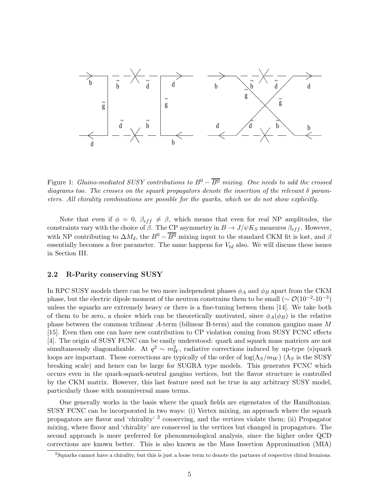

Figure 1: Gluino-mediated SUSY contributions to  $B^0 - \overline{B^0}$  mixing. One needs to add the crossed diagrams too. The crosses on the squark propagators denote the insertion of the relevant  $\delta$  parameters. All chirality combinations are possible for the quarks, which we do not show explicitly.

Note that even if  $\phi = 0$ ,  $\beta_{eff} \neq \beta$ , which means that even for real NP amplitudes, the constraints vary with the choice of  $\beta$ . The CP asymmetry in  $B \to J/\psi K_S$  measures  $\beta_{eff}$ . However, with NP contributing to  $\Delta M_d$ , the  $B^0 - \overline{B^0}$  mixing input to the standard CKM fit is lost, and  $\beta$ essentially becomes a free parameter. The same happens for  $V_{td}$  also. We will discuss these issues in Section III.

#### 2.2 R-Parity conserving SUSY

In RPC SUSY models there can be two more independent phases  $\phi_A$  and  $\phi_B$  apart from the CKM phase, but the electric dipole moment of the neutron constrains them to be small ( $\sim \mathcal{O}(10^{-2} \text{-} 10^{-3})$ unless the squarks are extremely heavy or there is a fine-tuning betwen them [14]. We take both of them to be zero, a choice which can be theoretically motivated, since  $\phi_A(\phi_B)$  is the relative phase between the common trilinear A-term (bilinear B-term) and the common gaugino mass M [15]. Even then one can have new contribution to CP violation coming from SUSY FCNC effects [4]. The origin of SUSY FCNC can be easily understood: quark and squark mass matrices are not simultaneously diagonalizable. At  $q^2 \sim m_W^2$ , radiative corrections induced by up-type (s)quark loops are important. These corrections are typically of the order of  $\log(\Lambda_S/m_W)$  ( $\Lambda_S$  is the SUSY breaking scale) and hence can be large for SUGRA type models. This generates FCNC which occurs even in the quark-squark-neutral gaugino vertices, but the flavor structure is controlled by the CKM matrix. However, this last feature need not be true in any arbitrary SUSY model, particularly those with nonuniversal mass terms.

One generally works in the basis where the quark fields are eigenstates of the Hamiltonian. SUSY FCNC can be incorporated in two ways: (i) Vertex mixing, an approach where the squark propagators are flavor and 'chirality' <sup>2</sup> conserving, and the vertices violate them; (ii) Propagator mixing, where flavor and 'chirality' are conserved in the vertices but changed in propagators. The second approach is more preferred for phenomenological analysis, since the higher order QCD corrections are known better. This is also known as the Mass Insertion Approximation (MIA)

 ${}^{2}$ Squarks cannot have a chirality, but this is just a loose term to denote the partners of respective chiral fermions.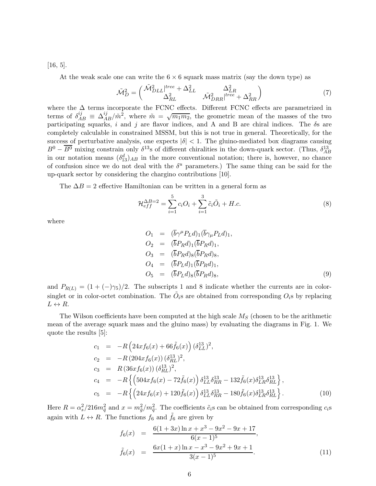[16, 5].

At the weak scale one can write the  $6 \times 6$  squark mass matrix (say the down type) as

$$
\tilde{\mathcal{M}}_D^2 = \begin{pmatrix} \tilde{\mathcal{M}}_{DLL}^2 \vert^{tree} + \Delta_{LL}^2 & \Delta_{LR}^2 \\ \Delta_{RL}^2 & \tilde{\mathcal{M}}_{DRR}^2 \vert^{tree} + \Delta_{RR}^2 \end{pmatrix} \tag{7}
$$

where the  $\Delta$  terms incorporate the FCNC effects. Different FCNC effects are parametrized in terms of  $\delta_{AB}^{ij} \equiv \Delta_{AB}^{ij}/m^2$ , where  $\tilde{m} = \sqrt{m_1 m_2}$ , the geometric mean of the masses of the two participating squarks, i and j are flavor indices, and A and B are chiral indices. The  $\delta s$  are completely calculable in constrained MSSM, but this is not true in general. Theoretically, for the success of perturbative analysis, one expects  $|\delta|$  < 1. The gluino-mediated box diagrams causing  $B^0 - \overline{B^0}$  mixing constrain only  $\delta^{13}$ s of different chiralities in the down-quark sector. (Thus,  $\delta^{13}_{AB}$ in our notation means  $(\delta_{13}^d)_{AB}$  in the more conventional notation; there is, however, no chance of confusion since we do not deal with the  $\delta^u$  parameters.) The same thing can be said for the up-quark sector by considering the chargino contributions [10].

The  $\Delta B = 2$  effective Hamiltonian can be written in a general form as

$$
\mathcal{H}_{eff}^{\Delta B=2} = \sum_{i=1}^{5} c_i O_i + \sum_{i=1}^{3} \tilde{c}_i \tilde{O}_i + H.c.
$$
 (8)

where

$$
O_1 = (\overline{b}\gamma^{\mu}P_Ld)_1(\overline{b}\gamma_{\mu}P_Ld)_1,
$$
  
\n
$$
O_2 = (\overline{b}P_Rd)_1(\overline{b}P_Rd)_1,
$$
  
\n
$$
O_3 = (\overline{b}P_Rd)_8(\overline{b}P_Rd)_8,
$$
  
\n
$$
O_4 = (\overline{b}P_Ld)_1(\overline{b}P_Rd)_1,
$$
  
\n
$$
O_5 = (\overline{b}P_Ld)_8(\overline{b}P_Rd)_8,
$$
  
\n(9)

and  $P_{R(L)} = (1 + (-)\gamma_5)/2$ . The subscripts 1 and 8 indicate whether the currents are in colorsinglet or in color-octet combination. The  $\tilde{O}_i$ s are obtained from corresponding  $O_i$ s by replacing  $L \leftrightarrow R$ .

The Wilson coefficients have been computed at the high scale  $M<sub>S</sub>$  (chosen to be the arithmetic mean of the average squark mass and the gluino mass) by evaluating the diagrams in Fig. 1. We quote the results [5]:

$$
c_1 = -R \left( 24x f_6(x) + 66 \tilde{f}_6(x) \right) (\delta_{LL}^{13})^2,
$$
  
\n
$$
c_2 = -R \left( 204x f_6(x) \right) (\delta_{RL}^{13})^2,
$$
  
\n
$$
c_3 = R \left( 36x f_6(x) \right) (\delta_{RL}^{13})^2,
$$
  
\n
$$
c_4 = -R \left\{ \left( 504x f_6(x) - 72 \tilde{f}_6(x) \right) \delta_{LL}^{13} \delta_{RR}^{13} - 132 \tilde{f}_6(x) \delta_{LR}^{13} \delta_{RL}^{13} \right\},
$$
  
\n
$$
c_5 = -R \left\{ \left( 24x f_6(x) + 120 \tilde{f}_6(x) \right) \delta_{LL}^{13} \delta_{RR}^{13} - 180 \tilde{f}_6(x) \delta_{LR}^{13} \delta_{RL}^{13} \right\}.
$$
\n(10)

Here  $R = \alpha_s^2/216m_{\tilde{q}}^2$  and  $x = m_{\tilde{g}}^2/m_{\tilde{q}}^2$ . The coefficients  $\tilde{c}_i$ s can be obtained from corresponding  $c_i$ s again with  $L \leftrightarrow R$ . The functions  $f_6$  and  $f_6$  are given by

$$
f_6(x) = \frac{6(1+3x)\ln x + x^3 - 9x^2 - 9x + 17}{6(x-1)^5},
$$
  

$$
\tilde{f}_6(x) = \frac{6x(1+x)\ln x - x^3 - 9x^2 + 9x + 1}{3(x-1)^5}.
$$
 (11)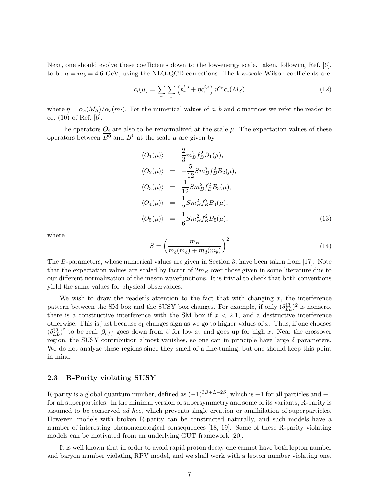Next, one should evolve these coefficients down to the low-energy scale, taken, following Ref. [6], to be  $\mu = m_b = 4.6$  GeV, using the NLO-QCD corrections. The low-scale Wilson coefficients are

$$
c_i(\mu) = \sum_r \sum_s \left( b_r^{i,s} + \eta c_r^{i,s} \right) \eta^{a_r} c_s(M_S) \tag{12}
$$

where  $\eta = \alpha_s(M_S)/\alpha_s(m_t)$ . For the numerical values of a, b and c matrices we refer the reader to eq. (10) of Ref. [6].

The operators  $O_i$  are also to be renormalized at the scale  $\mu$ . The expectation values of these operators between  $\overline{B^0}$  and  $B^0$  at the scale  $\mu$  are given by

$$
\langle O_1(\mu) \rangle = \frac{2}{3} m_B^2 f_B^2 B_1(\mu), \n\langle O_2(\mu) \rangle = -\frac{5}{12} S m_B^2 f_B^2 B_2(\mu), \n\langle O_3(\mu) \rangle = \frac{1}{12} S m_B^2 f_B^2 B_3(\mu), \n\langle O_4(\mu) \rangle = \frac{1}{2} S m_B^2 f_B^2 B_4(\mu), \n\langle O_5(\mu) \rangle = \frac{1}{6} S m_B^2 f_B^2 B_5(\mu),
$$
\n(13)

where

$$
S = \left(\frac{m_B}{m_b(m_b) + m_d(m_b)}\right)^2\tag{14}
$$

The B-parameters, whose numerical values are given in Section 3, have been taken from [17]. Note that the expectation values are scaled by factor of  $2m_B$  over those given in some literature due to our different normalization of the meson wavefunctions. It is trivial to check that both conventions yield the same values for physical observables.

We wish to draw the reader's attention to the fact that with changing  $x$ , the interference pattern between the SM box and the SUSY box changes. For example, if only  $(\delta_{LL}^{13})^2$  is nonzero, there is a constructive interference with the SM box if  $x < 2.1$ , and a destructive interference otherwise. This is just because  $c_1$  changes sign as we go to higher values of x. Thus, if one chooses  $(\delta_{LL}^{13})^2$  to be real,  $\beta_{eff}$  goes down from  $\beta$  for low x, and goes up for high x. Near the crossover region, the SUSY contribution almost vanishes, so one can in principle have large  $\delta$  parameters. We do not analyze these regions since they smell of a fine-tuning, but one should keep this point in mind.

#### 2.3 R-Parity violating SUSY

R-parity is a global quantum number, defined as  $(-1)^{3B+L+2S}$ , which is  $+1$  for all particles and  $-1$ for all superparticles. In the minimal version of supersymmetry and some of its variants, R-parity is assumed to be conserved ad hoc, which prevents single creation or annihilation of superparticles. However, models with broken R-parity can be constructed naturally, and such models have a number of interesting phenomenological consequences [18, 19]. Some of these R-parity violating models can be motivated from an underlying GUT framework [20].

It is well known that in order to avoid rapid proton decay one cannot have both lepton number and baryon number violating RPV model, and we shall work with a lepton number violating one.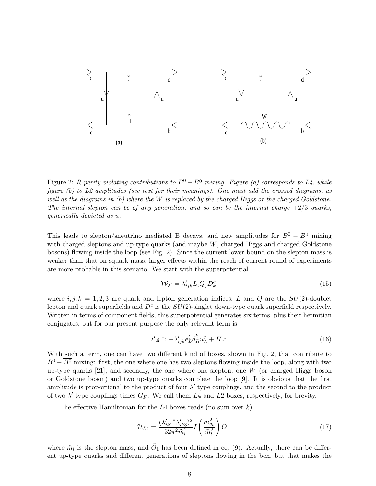

Figure 2: R-parity violating contributions to  $B^0 - \overline{B^0}$  mixing. Figure (a) corresponds to L4, while figure (b) to L2 amplitudes (see text for their meanings). One must add the crossed diagrams, as well as the diagrams in (b) where the W is replaced by the charged Higgs or the charged Goldstone. The internal slepton can be of any generation, and so can be the internal charge  $+2/3$  quarks, generically depicted as u.

This leads to slepton/sneutrino mediated B decays, and new amplitudes for  $B^0 - \overline{B^0}$  mixing with charged sleptons and up-type quarks (and maybe  $W$ , charged Higgs and charged Goldstone bosons) flowing inside the loop (see Fig. 2). Since the current lower bound on the slepton mass is weaker than that on squark mass, larger effects within the reach of current round of experiments are more probable in this scenario. We start with the superpotential

$$
\mathcal{W}_{\lambda'} = \lambda'_{ijk} L_i Q_j D_k^c,\tag{15}
$$

where  $i, j, k = 1, 2, 3$  are quark and lepton generation indices; L and Q are the  $SU(2)$ -doublet lepton and quark superfields and  $D^c$  is the  $SU(2)$ -singlet down-type quark superfield respectively. Written in terms of component fields, this superpotential generates six terms, plus their hermitian conjugates, but for our present purpose the only relevant term is

$$
\mathcal{L}_{ik} \supset -\lambda'_{ijk} \tilde{e}^i_L \overline{d}^k_R u^j_L + H.c.
$$
 (16)

With such a term, one can have two different kind of boxes, shown in Fig. 2, that contribute to  $B^0 - \overline{B^0}$  mixing: first, the one where one has two sleptons flowing inside the loop, along with two up-type quarks  $[21]$ , and secondly, the one where one slepton, one W (or charged Higgs boson or Goldstone boson) and two up-type quarks complete the loop [9]. It is obvious that the first amplitude is proportional to the product of four  $\lambda'$  type couplings, and the second to the product of two  $\lambda'$  type couplings times  $G_F$ . We call them L4 and L2 boxes, respectively, for brevity.

The effective Hamiltonian for the  $L4$  boxes reads (no sum over k)

$$
\mathcal{H}_{L4} = \frac{(\lambda_{ik1}'^* \lambda_{ik3}')^2}{32\pi^2 \tilde{m}_l^2} I\left(\frac{m_{q_k}^2}{\tilde{m}_l^2}\right) \tilde{O}_1\tag{17}
$$

where  $\tilde{m}_l$  is the slepton mass, and  $\tilde{O}_1$  has been defined in eq. (9). Actually, there can be different up-type quarks and different generations of sleptons flowing in the box, but that makes the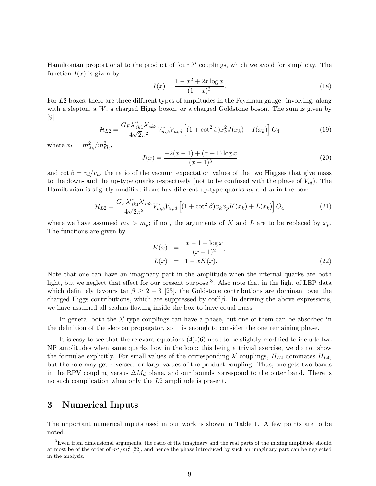Hamiltonian proportional to the product of four  $\lambda'$  couplings, which we avoid for simplicity. The function  $I(x)$  is given by

$$
I(x) = \frac{1 - x^2 + 2x \log x}{(1 - x)^3}.
$$
\n(18)

For L2 boxes, there are three different types of amplitudes in the Feynman gauge: involving, along with a slepton, a  $W$ , a charged Higgs boson, or a charged Goldstone boson. The sum is given by [9]

$$
\mathcal{H}_{L2} = \frac{G_F \lambda_{ik1}^* \lambda_{ik3}^*}{4\sqrt{2}\pi^2} V_{u_k b}^* V_{u_k d} \left[ (1 + \cot^2 \beta) x_k^2 J(x_k) + I(x_k) \right] O_4 \tag{19}
$$

where  $x_k = m_{u_k}^2/m_{\tilde{m}_l}^2$ ,

$$
J(x) = \frac{-2(x-1) + (x+1)\log x}{(x-1)^3}
$$
 (20)

and  $\cot \beta = v_d/v_u$ , the ratio of the vacuum expectation values of the two Higgses that give mass to the down- and the up-type quarks respectively (not to be confused with the phase of  $V_{td}$ ). The Hamiltonian is slightly modified if one has different up-type quarks  $u_k$  and  $u_l$  in the box:

$$
\mathcal{H}_{L2} = \frac{G_F \lambda_{ik1}^* \lambda_{ip3}^*}{4\sqrt{2}\pi^2} V_{u_kb}^* V_{u_pd} \left[ (1 + \cot^2 \beta) x_k x_p K(x_k) + L(x_k) \right] O_4 \tag{21}
$$

where we have assumed  $m_k > m_p$ ; if not, the arguments of K and L are to be replaced by  $x_p$ . The functions are given by

$$
K(x) = \frac{x - 1 - \log x}{(x - 1)^2},
$$
  
\n
$$
L(x) = 1 - xK(x).
$$
\n(22)

Note that one can have an imaginary part in the amplitude when the internal quarks are both light, but we neglect that effect for our present purpose<sup>3</sup>. Also note that in the light of LEP data which definitely favours tan  $\beta \geq 2 - 3$  [23], the Goldstone contributions are dominant over the charged Higgs contributions, which are suppressed by  $\cot^2 \beta$ . In deriving the above expressions, we have assumed all scalars flowing inside the box to have equal mass.

In general both the  $\lambda'$  type couplings can have a phase, but one of them can be absorbed in the definition of the slepton propagator, so it is enough to consider the one remaining phase.

It is easy to see that the relevant equations (4)-(6) need to be slightly modified to include two NP amplitudes when same quarks flow in the loop; this being a trivial exercise, we do not show the formulae explicitly. For small values of the corresponding  $\lambda'$  couplings,  $H_{L2}$  dominates  $H_{L4}$ , but the role may get reversed for large values of the product coupling. Thus, one gets two bands in the RPV coupling versus  $\Delta M_d$  plane, and our bounds correspond to the outer band. There is no such complication when only the L2 amplitude is present.

## 3 Numerical Inputs

The important numerical inputs used in our work is shown in Table 1. A few points are to be noted.

 $3$ Even from dimensional arguments, the ratio of the imaginary and the real parts of the mixing amplitude should at most be of the order of  $m_b^2/m_t^2$  [22], and hence the phase introduced by such an imaginary part can be neglected in the analysis.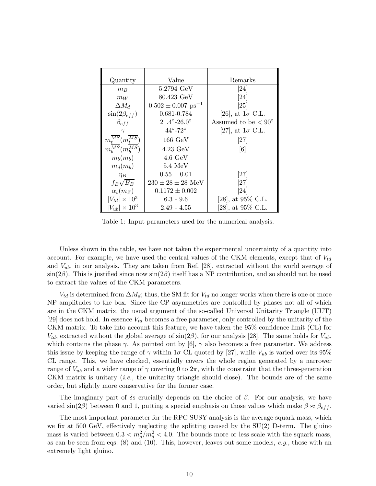| Quantity                                   | Value                              | Remarks                      |  |
|--------------------------------------------|------------------------------------|------------------------------|--|
| $m_B$                                      | $5.2794 \text{ GeV}$               | [24]                         |  |
| $m_W$                                      | 80.423 GeV                         | [24]                         |  |
| $\Delta M_d$                               | $0.502 \pm 0.007$ ps <sup>-1</sup> | [25]                         |  |
| $\sin(2\beta_{eff})$                       | 0.681-0.784                        | [26], at $1\sigma$ C.L.      |  |
| $\beta_{eff}$                              | $21.4^{\circ} - 26.0^{\circ}$      | Assumed to be $< 90^{\circ}$ |  |
| $\gamma$                                   | $44^{\circ} - 72^{\circ}$          | [27], at $1\sigma$ C.L.      |  |
| $m_t^{\overline{MS}}(m_t^{\overline{MS}})$ | $166 \text{ GeV}$                  | [27]                         |  |
| $m_h^{\overline{MS}}(m_h^{\overline{MS}})$ | $4.23 \text{ GeV}$                 | [6]                          |  |
| $m_b(m_b)$                                 | $4.6 \text{ GeV}$                  |                              |  |
| $m_d(m_b)$                                 | 5.4~MeV                            |                              |  |
| $\eta_B$                                   | $0.55 \pm 0.01$                    | [27]                         |  |
| $f_B\sqrt{B_B}$                            | $230 \pm 28 \pm 28$ MeV            | [27]                         |  |
| $\alpha_s(m_Z)$                            | $0.1172 \pm 0.002$                 | [24]                         |  |
| $ V_{td}  \times 10^3$                     | $6.3 - 9.6$                        | [28], at $95\%$ C.L.         |  |
| $ V_{ub}  \times 10^3$                     | $2.49 - 4.55$                      | [28], at 95\% C.L.           |  |

Table 1: Input parameters used for the numerical analysis.

Unless shown in the table, we have not taken the experimental uncertainty of a quantity into account. For example, we have used the central values of the CKM elements, except that of  $V_{td}$ and  $V_{ub}$ , in our analysis. They are taken from Ref. [28], extracted without the world average of  $\sin(2\beta)$ . This is justified since now  $\sin(2\beta)$  itself has a NP contribution, and so should not be used to extract the values of the CKM parameters.

 $V_{td}$  is determined from  $\Delta M_d$ ; thus, the SM fit for  $V_{td}$  no longer works when there is one or more NP amplitudes to the box. Since the CP asymmetries are controlled by phases not all of which are in the CKM matrix, the usual argument of the so-called Universal Unitarity Triangle (UUT) [29] does not hold. In essence  $V_{td}$  becomes a free parameter, only controlled by the unitarity of the CKM matrix. To take into account this feature, we have taken the 95% confidence limit (CL) for  $V_{td}$ , extracted without the global average of  $\sin(2\beta)$ , for our analysis [28]. The same holds for  $V_{ub}$ , which contains the phase  $\gamma$ . As pointed out by [6],  $\gamma$  also becomes a free parameter. We address this issue by keeping the range of  $\gamma$  within 1 $\sigma$  CL quoted by [27], while  $V_{ub}$  is varied over its 95% CL range. This, we have checked, essentially covers the whole region generated by a narrower range of  $V_{ub}$  and a wider range of  $\gamma$  covering 0 to  $2\pi$ , with the constraint that the three-generation CKM matrix is unitary *(i.e.,* the unitarity triangle should close). The bounds are of the same order, but slightly more conservative for the former case.

The imaginary part of  $\delta s$  crucially depends on the choice of  $\beta$ . For our analysis, we have varied sin(2β) between 0 and 1, putting a special emphasis on those values which make  $\beta \approx \beta_{eff}$ .

The most important parameter for the RPC SUSY analysis is the average squark mass, which we fix at 500 GeV, effectively neglecting the splitting caused by the SU(2) D-term. The gluino mass is varied between  $0.3 < m_{\tilde{g}}^2/m_{\tilde{q}}^2 < 4.0$ . The bounds more or less scale with the squark mass, as can be seen from eqs.  $(8)$  and  $(10)$ . This, however, leaves out some models, e.g., those with an extremely light gluino.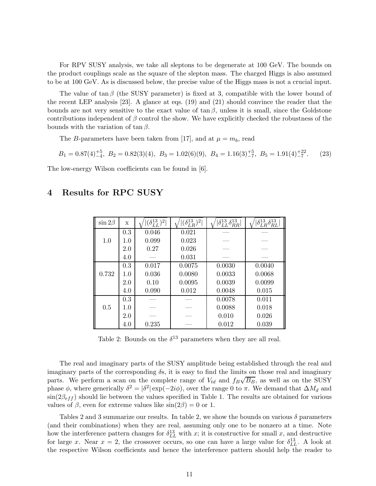For RPV SUSY analysis, we take all sleptons to be degenerate at 100 GeV. The bounds on the product couplings scale as the square of the slepton mass. The charged Higgs is also assumed to be at 100 GeV. As is discussed below, the precise value of the Higgs mass is not a crucial input.

The value of tan  $\beta$  (the SUSY parameter) is fixed at 3, compatible with the lower bound of the recent LEP analysis [23]. A glance at eqs. (19) and (21) should convince the reader that the bounds are not very sensitive to the exact value of  $\tan \beta$ , unless it is small, since the Goldstone contributions independent of  $\beta$  control the show. We have explicitly checked the robustness of the bounds with the variation of tan  $\beta$ .

The B-parameters have been taken from [17], and at  $\mu = m_b$ , read

$$
B_1 = 0.87(4)_{-4}^{+5}, \ B_2 = 0.82(3)(4), \ B_3 = 1.02(6)(9), \ B_4 = 1.16(3)_{-7}^{+5}, \ B_5 = 1.91(4)_{-7}^{+22}.\tag{23}
$$

The low-energy Wilson coefficients can be found in [6].

| $\sin 2\beta$ | X   | $(\delta^{13}_{LL})^2$ | $(\delta^{13}_{LR})^2$ | $ \delta^{13}_{LL} \delta^{13}_{RR} $ | $ \delta^{13}_{LR} \delta^{13}_{RL} $ |
|---------------|-----|------------------------|------------------------|---------------------------------------|---------------------------------------|
|               | 0.3 | 0.046                  | 0.021                  |                                       |                                       |
| 1.0           | 1.0 | 0.099                  | 0.023                  |                                       |                                       |
|               | 2.0 | 0.27                   | 0.026                  |                                       |                                       |
|               | 4.0 |                        | 0.031                  |                                       |                                       |
|               | 0.3 | 0.017                  | 0.0075                 | 0.0030                                | 0.0040                                |
| 0.732         | 1.0 | 0.036                  | 0.0080                 | 0.0033                                | 0.0068                                |
|               | 2.0 | 0.10                   | 0.0095                 | 0.0039                                | 0.0099                                |
|               | 4.0 | 0.090                  | 0.012                  | 0.0048                                | 0.015                                 |
|               | 0.3 |                        |                        | 0.0078                                | 0.011                                 |
| 0.5           | 1.0 |                        |                        | 0.0088                                | 0.018                                 |
|               | 2.0 |                        |                        | 0.010                                 | 0.026                                 |
|               | 4.0 | 0.235                  |                        | 0.012                                 | 0.039                                 |

## 4 Results for RPC SUSY

Table 2: Bounds on the  $\delta^{13}$  parameters when they are all real.

The real and imaginary parts of the SUSY amplitude being established through the real and imaginary parts of the corresponding  $\delta s$ , it is easy to find the limits on those real and imaginary parts. We perform a scan on the complete range of  $V_{td}$  and  $f_B\sqrt{B_B}$ , as well as on the SUSY phase  $\phi$ , where generically  $\delta^2 = |\delta^2| \exp(-2i\phi)$ , over the range 0 to  $\pi$ . We demand that  $\Delta M_d$  and  $\sin(2\beta_{eff})$  should lie between the values specified in Table 1. The results are obtained for various values of  $\beta$ , even for extreme values like  $sin(2\beta) = 0$  or 1.

Tables 2 and 3 summarize our results. In table 2, we show the bounds on various  $\delta$  parameters (and their combinations) when they are real, assuming only one to be nonzero at a time. Note how the interference pattern changes for  $\delta_{LL}^{13}$  with x; it is constructive for small x, and destructive for large x. Near  $x = 2$ , the crossover occurs, so one can have a large value for  $\delta_{LL}^{13}$ . A look at the respective Wilson coefficients and hence the interference pattern should help the reader to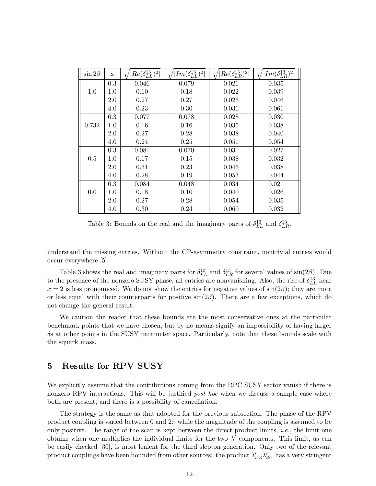| $\sin 2\beta$ | X       | $ Re(\delta^{13}_{LL})^2 $ | $ Im(\delta^{13}_{LL})^2 $ | $Re(\delta_{LR}^{13})^2$ | $ Im(\delta^{13}_{LR})^2 $ |
|---------------|---------|----------------------------|----------------------------|--------------------------|----------------------------|
|               | 0.3     | 0.046                      | 0.079                      | 0.021                    | 0.035                      |
| 1.0           | $1.0\,$ | 0.10                       | 0.18                       | 0.022                    | 0.039                      |
|               | 2.0     | 0.27                       | 0.27                       | 0.026                    | 0.046                      |
|               | 4.0     | 0.23                       | 0.30                       | 0.031                    | 0.061                      |
|               | 0.3     | 0.077                      | 0.078                      | 0.028                    | 0.030                      |
| 0.732         | 1.0     | 0.16                       | 0.16                       | 0.035                    | 0.038                      |
|               | $2.0\,$ | 0.27                       | 0.28                       | 0.038                    | 0.040                      |
|               | 4.0     | 0.24                       | 0.25                       | 0.051                    | 0.054                      |
|               | 0.3     | 0.081                      | 0.070                      | 0.031                    | 0.027                      |
| 0.5           | $1.0\,$ | 0.17                       | 0.15                       | 0.038                    | 0.032                      |
|               | 2.0     | 0.31                       | 0.23                       | 0.046                    | 0.038                      |
|               | 4.0     | 0.28                       | 0.19                       | 0.053                    | 0.044                      |
|               | 0.3     | 0.084                      | 0.048                      | 0.034                    | 0.021                      |
| 0.0           | $1.0\,$ | 0.18                       | 0.10                       | 0.040                    | 0.026                      |
|               | 2.0     | 0.27                       | 0.28                       | 0.054                    | 0.035                      |
|               | 4.0     | 0.30                       | 0.24                       | 0.060                    | 0.032                      |

Table 3: Bounds on the real and the imaginary parts of  $\delta_{LL}^{13}$  and  $\delta_{LR}^{13}$ .

understand the missing entries. Without the CP-asymmetry constraint, nontrivial entries would occur everywhere [5].

Table 3 shows the real and imaginary parts for  $\delta_{LL}^{13}$  and  $\delta_{LR}^{13}$  for several values of sin(2 $\beta$ ). Due to the presence of the nonzero SUSY phase, all entries are nonvanishing. Also, the rise of  $\delta_{LL}^{13}$  near  $x = 2$  is less pronounced. We do not show the entries for negative values of  $\sin(2\beta)$ ; they are more or less equal with their counterparts for positive  $sin(2\beta)$ . There are a few exceptions, which do not change the general result.

We caution the reader that these bounds are the most conservative ones at the particular benchmark points that we have chosen, but by no means signify an impossibility of having larger δs at other points in the SUSY parameter space. Particularly, note that these bounds scale with the squark mass.

## 5 Results for RPV SUSY

We explicitly assume that the contributions coming from the RPC SUSY sector vanish if there is nonzero RPV interactions. This will be justified *post hoc* when we discuss a sample case where both are present, and there is a possibility of cancellation.

The strategy is the same as that adopted for the previous subsection. The phase of the RPV product coupling is varied between 0 and  $2\pi$  while the magnitude of the coupling is assumed to be only positive. The range of the scan is kept between the direct product limits, *i.e.*, the limit one obtains when one multiplies the individual limits for the two  $\lambda'$  components. This limit, as can be easily checked [30], is most lenient for the third slepton generation. Only two of the relevant product couplings have been bounded from other sources: the product  $\lambda'_{i13}\lambda'_{i31}$  has a very stringent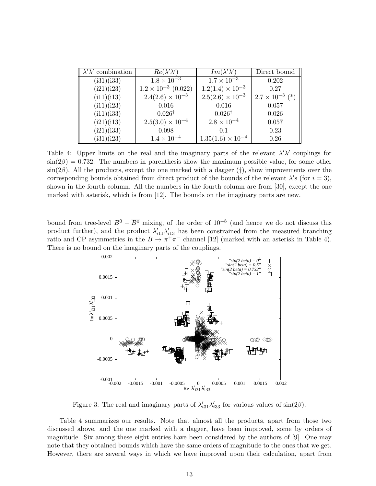| $\lambda' \lambda'$ combination | $Re(\lambda'\lambda')$       | $Im(\lambda'\lambda')$     | Direct bound             |
|---------------------------------|------------------------------|----------------------------|--------------------------|
| (i31)(i33)                      | $1.8 \times 10^{-3}$         | $1.7 \times 10^{-3}$       | 0.202                    |
| (i21)(i23)                      | $1.2 \times 10^{-3}$ (0.022) | $1.2(1.4) \times 10^{-3}$  | 0.27                     |
| (ii1)(i13)                      | $2.4(2.6) \times 10^{-3}$    | $2.5(2.6) \times 10^{-3}$  | $2.7 \times 10^{-3}$ (*) |
| (ii1)(i23)                      | 0.016                        | 0.016                      | 0.057                    |
| (ii1)(i33)                      | $0.026^{\dagger}$            | $0.026^{\dagger}$          | 0.026                    |
| (i21)(i13)                      | $2.5(3.0) \times 10^{-4}$    | $2.8 \times 10^{-4}$       | 0.057                    |
| (i21)(i33)                      | 0.098                        | 0.1                        | 0.23                     |
| (i31)(i23)                      | $1.4 \times 10^{-4}$         | $1.35(1.6) \times 10^{-4}$ | 0.26                     |

Table 4: Upper limits on the real and the imaginary parts of the relevant  $\lambda' \lambda'$  couplings for  $\sin(2\beta) = 0.732$ . The numbers in parenthesis show the maximum possible value, for some other  $\sin(2\beta)$ . All the products, except the one marked with a dagger (†), show improvements over the corresponding bounds obtained from direct product of the bounds of the relevant  $\lambda$ 's (for  $i = 3$ ), shown in the fourth column. All the numbers in the fourth column are from [30], except the one marked with asterisk, which is from [12]. The bounds on the imaginary parts are new.

bound from tree-level  $B^0 - \overline{B^0}$  mixing, of the order of  $10^{-8}$  (and hence we do not discuss this product further), and the product  $\lambda'_{i11}\lambda'_{i13}$  has been constrained from the measured branching ratio and CP asymmetries in the  $B \to \pi^+\pi^-$  channel [12] (marked with an asterisk in Table 4). There is no bound on the imaginary parts of the couplings.



Figure 3: The real and imaginary parts of  $\lambda'_{31} \lambda'_{33}$  for various values of  $\sin(2\beta)$ .

Table 4 summarizes our results. Note that almost all the products, apart from those two discussed above, and the one marked with a dagger, have been improved, some by orders of magnitude. Six among these eight entries have been considered by the authors of [9]. One may note that they obtained bounds which have the same orders of magnitude to the ones that we get. However, there are several ways in which we have improved upon their calculation, apart from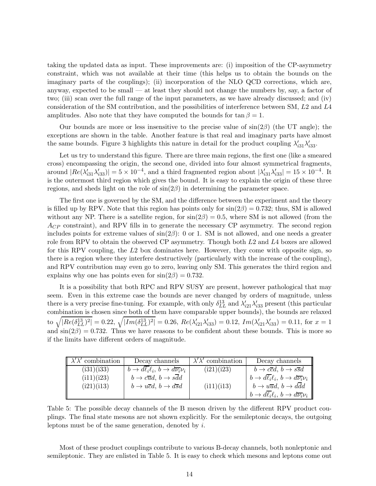taking the updated data as input. These improvements are: (i) imposition of the CP-asymmetry constraint, which was not available at their time (this helps us to obtain the bounds on the imaginary parts of the couplings); (ii) incorporation of the NLO QCD corrections, which are, anyway, expected to be small — at least they should not change the numbers by, say, a factor of two; (iii) scan over the full range of the input parameters, as we have already discussed; and (iv) consideration of the SM contribution, and the possibilities of interference between SM, L2 and L4 amplitudes. Also note that they have computed the bounds for  $\tan \beta = 1$ .

Our bounds are more or less insensitive to the precise value of  $\sin(2\beta)$  (the UT angle); the exceptions are shown in the table. Another feature is that real and imaginary parts have almost the same bounds. Figure 3 highlights this nature in detail for the product coupling  $\lambda'_{i31}\lambda'_{i33}$ .

Let us try to understand this figure. There are three main regions, the first one (like a smeared cross) encompassing the origin, the second one, divided into four almost symmetrical fragments, around  $|Re(\lambda'_{i31}\lambda'_{i33})|=5\times 10^{-4}$ , and a third fragmented region about  $|\lambda'_{i31}\lambda'_{i33}|=15\times 10^{-4}$ . It is the outermost third region which gives the bound. It is easy to explain the origin of these three regions, and sheds light on the role of  $\sin(2\beta)$  in determining the parameter space.

The first one is governed by the SM, and the difference between the experiment and the theory is filled up by RPV. Note that this region has points only for  $\sin(2\beta) = 0.732$ ; thus, SM is allowed without any NP. There is a satellite region, for  $\sin(2\beta) = 0.5$ , where SM is not allowed (from the  $A_{CP}$  constraint), and RPV fills in to generate the necessary CP asymmetry. The second region includes points for extreme values of  $sin(2\beta)$ : 0 or 1. SM is not allowed, and one needs a greater role from RPV to obtain the observed CP asymmetry. Though both L2 and L4 boxes are allowed for this RPV coupling, the  $L2$  box dominates here. However, they come with opposite sign, so there is a region where they interfere destructively (particularly with the increase of the coupling), and RPV contribution may even go to zero, leaving only SM. This generates the third region and explains why one has points even for  $sin(2\beta) = 0.732$ .

It is a possibility that both RPC and RPV SUSY are present, however pathological that may seem. Even in this extreme case the bounds are never changed by orders of magnitude, unless there is a very precise fine-tuning. For example, with only  $\delta_{LL}^{13}$  and  $\lambda'_{i21}\lambda'_{i33}$  present (this particular combination is chosen since both of them have comparable upper bounds), the bounds are relaxed to  $\sqrt{|Re(\delta_{LL}^{13})^2|} = 0.22$ ,  $\sqrt{|Im(\delta_{LL}^{13})^2|} = 0.26$ ,  $Re(\lambda'_{i21}\lambda'_{i33}) = 0.12$ ,  $Im(\lambda'_{i21}\lambda'_{i33}) = 0.11$ , for  $x = 1$ and  $\sin(2\beta) = 0.732$ . Thus we have reasons to be confident about these bounds. This is more so if the limits have different orders of magnitude.

| $\lambda' \lambda'$ combination | Decay channels                                        | $\lambda' \lambda'$ combination | Decay channels                                               |
|---------------------------------|-------------------------------------------------------|---------------------------------|--------------------------------------------------------------|
| (i31)(i33)                      | $b \to d\ell_i \ell_i, b \to d\overline{\nu_i} \nu_i$ | (i21)(i23)                      | $b \rightarrow c\overline{c}d, b \rightarrow s\overline{s}d$ |
| (ii1)(i23)                      | $b \rightarrow c\overline{u}d$ , $b \rightarrow sdd$  |                                 | $b \to d\ell_i\ell_i, b \to d\overline{\nu_i}\nu_i$          |
| (i21)(i13)                      | $b \to u\overline{c}d$ , $b \to d\overline{s}d$       | (ii1)(i13)                      | $b \to u\overline{u}d$ , $b \to d\overline{d}d$              |
|                                 |                                                       |                                 | $b \to d\ell_i \ell_i, b \to d\overline{\nu_i} \nu_i$        |

Table 5: The possible decay channels of the B meson driven by the different RPV product couplings. The final state mesons are not shown explicitly. For the semileptonic decays, the outgoing leptons must be of the same generation, denoted by i.

Most of these product couplings contribute to various B-decay channels, both nonleptonic and semileptonic. They are enlisted in Table 5. It is easy to check which mesons and leptons come out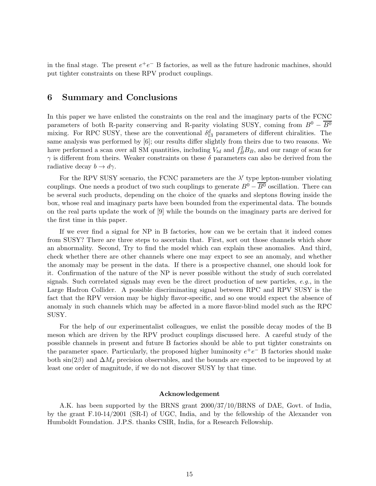in the final stage. The present  $e^+e^-$  B factories, as well as the future hadronic machines, should put tighter constraints on these RPV product couplings.

## 6 Summary and Conclusions

In this paper we have enlisted the constraints on the real and the imaginary parts of the FCNC parameters of both R-parity conserving and R-parity violating SUSY, coming from  $B^0 - \overline{B^0}$ mixing. For RPC SUSY, these are the conventional  $\delta_{13}^d$  parameters of different chiralities. The same analysis was performed by [6]; our results differ slightly from theirs due to two reasons. We have performed a scan over all SM quantities, including  $V_{td}$  and  $f_B^2 B_B$ , and our range of scan for  $\gamma$  is different from theirs. Weaker constraints on these  $\delta$  parameters can also be derived from the radiative decay  $b \to d\gamma$ .

For the RPV SUSY scenario, the FCNC parameters are the  $\lambda'$  type lepton-number violating couplings. One needs a product of two such couplings to generate  $B^0 - \overline{B^0}$  oscillation. There can be several such products, depending on the choice of the quarks and sleptons flowing inside the box, whose real and imaginary parts have been bounded from the experimental data. The bounds on the real parts update the work of [9] while the bounds on the imaginary parts are derived for the first time in this paper.

If we ever find a signal for NP in B factories, how can we be certain that it indeed comes from SUSY? There are three steps to ascertain that. First, sort out those channels which show an abnormality. Second, Try to find the model which can explain these anomalies. And third, check whether there are other channels where one may expect to see an anomaly, and whether the anomaly may be present in the data. If there is a prospective channel, one should look for it. Confirmation of the nature of the NP is never possible without the study of such correlated signals. Such correlated signals may even be the direct production of new particles,  $e.g.,$  in the Large Hadron Collider. A possible discriminating signal between RPC and RPV SUSY is the fact that the RPV version may be highly flavor-specific, and so one would expect the absence of anomaly in such channels which may be affected in a more flavor-blind model such as the RPC SUSY.

For the help of our experimentalist colleagues, we enlist the possible decay modes of the B meson which are driven by the RPV product couplings discussed here. A careful study of the possible channels in present and future B factories should be able to put tighter constraints on the parameter space. Particularly, the proposed higher luminosity  $e^+e^-$  B factories should make both sin(2β) and  $\Delta M_d$  precision observables, and the bounds are expected to be improved by at least one order of magnitude, if we do not discover SUSY by that time.

#### Acknowledgement

A.K. has been supported by the BRNS grant 2000/37/10/BRNS of DAE, Govt. of India, by the grant F.10-14/2001 (SR-I) of UGC, India, and by the fellowship of the Alexander von Humboldt Foundation. J.P.S. thanks CSIR, India, for a Research Fellowship.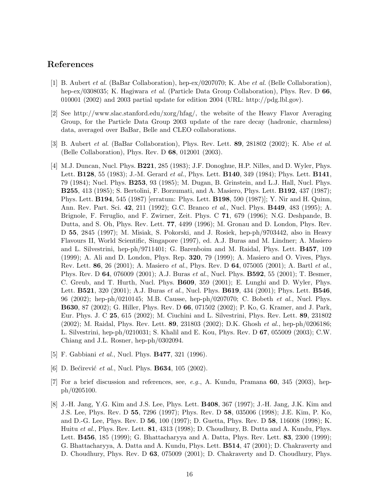### References

- [1] B. Aubert et al. (BaBar Collaboration), hep-ex/0207070; K. Abe et al. (Belle Collaboration), hep-ex/0308035; K. Hagiwara et al. (Particle Data Group Collaboration), Phys. Rev. D 66, 010001 (2002) and 2003 partial update for edition 2004 (URL: http://pdg.lbl.gov).
- [2] See http://www.slac.stanford.edu/xorg/hfag/, the website of the Heavy Flavor Averaging Group, for the Particle Data Group 2003 update of the rare decay (hadronic, charmless) data, averaged over BaBar, Belle and CLEO collaborations.
- [3] B. Aubert et al. (BaBar Collaboration), Phys. Rev. Lett. 89, 281802 (2002); K. Abe et al. (Belle Collaboration), Phys. Rev. D 68, 012001 (2003).
- [4] M.J. Duncan, Nucl. Phys. B221, 285 (1983); J.F. Donoghue, H.P. Nilles, and D. Wyler, Phys. Lett. **B128**, 55 (1983); J.-M. Gerard *et al.*, Phys. Lett. **B140**, 349 (1984); Phys. Lett. **B141**, 79 (1984); Nucl. Phys. B253, 93 (1985); M. Dugan, B. Grinstein, and L.J. Hall, Nucl. Phys. B255, 413 (1985); S. Bertolini, F. Borzumati, and A. Masiero, Phys. Lett. B192, 437 (1987); Phys. Lett. B194, 545 (1987) [erratum: Phys. Lett. B198, 590 (1987)]; Y. Nir and H. Quinn, Ann. Rev. Part. Sci. 42, 211 (1992); G.C. Branco et al., Nucl. Phys. B449, 483 (1995); A. Brignole, F. Feruglio, and F. Zwirner, Zeit. Phys. C 71, 679 (1996); N.G. Deshpande, B. Dutta, and S. Oh, Phys. Rev. Lett. 77, 4499 (1996); M. Gronau and D. London, Phys. Rev. D 55, 2845 (1997); M. Misiak, S. Pokorski, and J. Rosiek, hep-ph/9703442, also in Heavy Flavours II, World Scientific, Singapore (1997), ed. A.J. Buras and M. Lindner; A. Masiero and L. Silvestrini, hep-ph/9711401; G. Barenboim and M. Raidal, Phys. Lett. B457, 109 (1999); A. Ali and D. London, Phys. Rep. 320, 79 (1999); A. Masiero and O. Vives, Phys. Rev. Lett. 86, 26 (2001); A. Masiero et al., Phys. Rev. D 64, 075005 (2001); A. Bartl et al., Phys. Rev. D 64, 076009 (2001); A.J. Buras et al., Nucl. Phys. B592, 55 (2001); T. Besmer, C. Greub, and T. Hurth, Nucl. Phys. B609, 359 (2001); E. Lunghi and D. Wyler, Phys. Lett. **B521**, 320 (2001); A.J. Buras *et al.*, Nucl. Phys. **B619**, 434 (2001); Phys. Lett. **B546**, 96 (2002); hep-ph/0210145; M.B. Causse, hep-ph/0207070; C. Bobeth et al., Nucl. Phys. B630, 87 (2002); G. Hiller, Phys. Rev. D 66, 071502 (2002); P. Ko, G. Kramer, and J. Park, Eur. Phys. J. C 25, 615 (2002); M. Ciuchini and L. Silvestrini, Phys. Rev. Lett. 89, 231802 (2002); M. Raidal, Phys. Rev. Lett. 89, 231803 (2002); D.K. Ghosh et al., hep-ph/0206186; L. Silvestrini, hep-ph/0210031; S. Khalil and E. Kou, Phys. Rev. D 67, 055009 (2003); C.W. Chiang and J.L. Rosner, hep-ph/0302094.
- [5] F. Gabbiani *et al.*, Nucl. Phys. **B477**, 321 (1996).
- [6] D. Bećirević *et al.*, Nucl. Phys. **B634**, 105 (2002).
- [7] For a brief discussion and references, see, e.g., A. Kundu, Pramana 60, 345 (2003), hepph/0205100.
- [8] J.-H. Jang, Y.G. Kim and J.S. Lee, Phys. Lett. B408, 367 (1997); J.-H. Jang, J.K. Kim and J.S. Lee, Phys. Rev. D 55, 7296 (1997); Phys. Rev. D 58, 035006 (1998); J.E. Kim, P. Ko, and D.-G. Lee, Phys. Rev. D 56, 100 (1997); D. Guetta, Phys. Rev. D 58, 116008 (1998); K. Huitu et al., Phys. Rev. Lett. 81, 4313 (1998); D. Choudhury, B. Dutta and A. Kundu, Phys. Lett. B456, 185 (1999); G. Bhattacharyya and A. Datta, Phys. Rev. Lett. 83, 2300 (1999); G. Bhattacharyya, A. Datta and A. Kundu, Phys. Lett. B514, 47 (2001); D. Chakraverty and D. Choudhury, Phys. Rev. D 63, 075009 (2001); D. Chakraverty and D. Choudhury, Phys.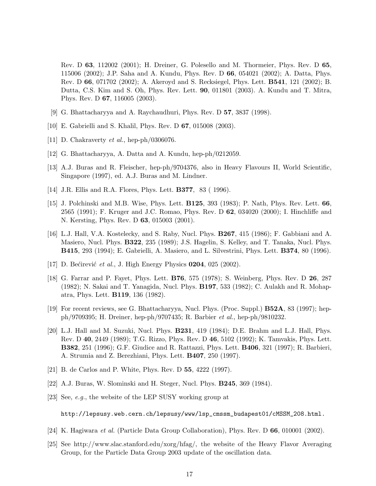Rev. D 63, 112002 (2001); H. Dreiner, G. Polesello and M. Thormeier, Phys. Rev. D 65, 115006 (2002); J.P. Saha and A. Kundu, Phys. Rev. D 66, 054021 (2002); A. Datta, Phys. Rev. D 66, 071702 (2002); A. Akeroyd and S. Recksiegel, Phys. Lett. B541, 121 (2002); B. Dutta, C.S. Kim and S. Oh, Phys. Rev. Lett. 90, 011801 (2003). A. Kundu and T. Mitra, Phys. Rev. D 67, 116005 (2003).

- [9] G. Bhattacharyya and A. Raychaudhuri, Phys. Rev. D 57, 3837 (1998).
- [10] E. Gabrielli and S. Khalil, Phys. Rev. D 67, 015008 (2003).
- [11] D. Chakraverty *et al.*, hep-ph/0306076.
- [12] G. Bhattacharyya, A. Datta and A. Kundu, hep-ph/0212059.
- [13] A.J. Buras and R. Fleischer, hep-ph/9704376, also in Heavy Flavours II, World Scientific, Singapore (1997), ed. A.J. Buras and M. Lindner.
- [14] J.R. Ellis and R.A. Flores, Phys. Lett. B377, 83 ( 1996).
- [15] J. Polchinski and M.B. Wise, Phys. Lett. B125, 393 (1983); P. Nath, Phys. Rev. Lett. 66, 2565 (1991); F. Kruger and J.C. Romao, Phys. Rev. D 62, 034020 (2000); I. Hinchliffe and N. Kersting, Phys. Rev. D 63, 015003 (2001).
- [16] L.J. Hall, V.A. Kostelecky, and S. Raby, Nucl. Phys. B267, 415 (1986); F. Gabbiani and A. Masiero, Nucl. Phys. B322, 235 (1989); J.S. Hagelin, S. Kelley, and T. Tanaka, Nucl. Phys. B415, 293 (1994); E. Gabrielli, A. Masiero, and L. Silvestrini, Phys. Lett. B374, 80 (1996).
- [17] D. Bećirević et al., J. High Energy Physics  $0204$ ,  $025$   $(2002)$ .
- [18] G. Farrar and P. Fayet, Phys. Lett. B76, 575 (1978); S. Weinberg, Phys. Rev. D 26, 287 (1982); N. Sakai and T. Yanagida, Nucl. Phys. B197, 533 (1982); C. Aulakh and R. Mohapatra, Phys. Lett. B119, 136 (1982).
- [19] For recent reviews, see G. Bhattacharyya, Nucl. Phys. (Proc. Suppl.) B52A, 83 (1997); hepph/9709395; H. Dreiner, hep-ph/9707435; R. Barbier et al., hep-ph/9810232.
- [20] L.J. Hall and M. Suzuki, Nucl. Phys. B231, 419 (1984); D.E. Brahm and L.J. Hall, Phys. Rev. D 40, 2449 (1989); T.G. Rizzo, Phys. Rev. D 46, 5102 (1992); K. Tamvakis, Phys. Lett. B382, 251 (1996); G.F. Giudice and R. Rattazzi, Phys. Lett. B406, 321 (1997); R. Barbieri, A. Strumia and Z. Berezhiani, Phys. Lett. B407, 250 (1997).
- [21] B. de Carlos and P. White, Phys. Rev. D 55, 4222 (1997).
- [22] A.J. Buras, W. Slominski and H. Steger, Nucl. Phys. B245, 369 (1984).
- [23] See, e.g., the website of the LEP SUSY working group at

http://lepsusy.web.cern.ch/lepsusy/www/lsp\_cmssm\_budapest01/cMSSM\_208.html.

- [24] K. Hagiwara et al. (Particle Data Group Collaboration), Phys. Rev. D 66, 010001 (2002).
- [25] See http://www.slac.stanford.edu/xorg/hfag/, the website of the Heavy Flavor Averaging Group, for the Particle Data Group 2003 update of the oscillation data.